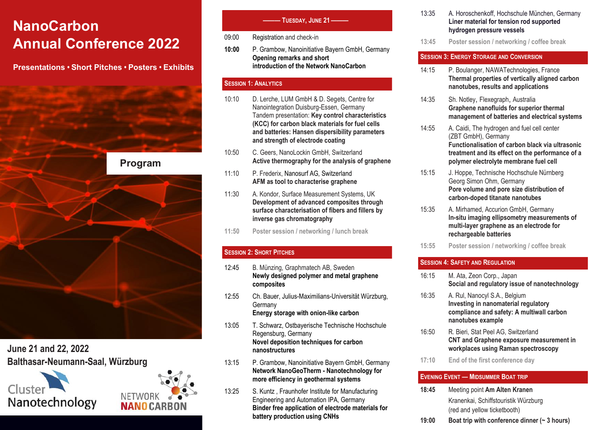# **NanoCarbon Annual Conference 2022**

**Presentations • Short Pitches • Posters • Exhibits**



**June 21 and 22, 2022 Balthasar-Neumann-Saal, Würzburg**





## **——— TUESDAY, JUNE 21 ———**

- 09:00 Registration and check-in
- **10:00** P. Grambow, Nanoinitiative Bayern GmbH, Germany **Opening remarks and short introduction of the Network NanoCarbon**

## **SESSION 1: ANALYTICS**

- 10:10 D. Lerche, LUM GmbH & D. Segets, Centre for Nanointegration Duisburg-Essen, Germany Tandem presentation: **Key control characteristics (KCC) for carbon black materials for fuel cells and batteries: Hansen dispersibility parameters and strength of electrode coating**
- 10:50 C. Geers, NanoLockin GmbH, Switzerland **Active thermography for the analysis of graphene**
- 11:10 P. Frederix, Nanosurf AG, Switzerland **AFM as tool to characterise graphene**
- 11:30 A. Kondor, Surface Measurement Systems, UK **Development of advanced composites through surface characterisation of fibers and fillers by inverse gas chromatography**
- **11:50 Poster session / networking / lunch break**

# **SESSION 2: SHORT PITCHES**

- 12:45 B. Münzing, Graphmatech AB, Sweden **Newly designed polymer and metal graphene composites**
- 12:55 Ch. Bauer, Julius-Maximilians-Universität Würzburg, Germany **Energy storage with onion-like carbon**
- 13:05 T. Schwarz, Ostbayerische Technische Hochschule Regensburg, Germany **Novel deposition techniques for carbon nanostructures**
- 13:15 P. Grambow, Nanoinitiative Bayern GmbH, Germany **Network NanoGeoTherm - Nanotechnology for more efficiency in geothermal systems**
- 13:25 S. Kuntz , Fraunhofer Institute for Manufacturing Engineering and Automation IPA, Germany **Binder free application of electrode materials for battery production using CNHs**
- 13:35 A. Horoschenkoff, Hochschule München, Germany **Liner material for tension rod supported hydrogen pressure vessels**
- **13:45 Poster session / networking / coffee break**

## **SESSION 3: ENERGY STORAGE AND CONVERSION**

- 14:15 P. Boulanger, NAWATechnologies, France **Thermal properties of vertically aligned carbon nanotubes, results and applications**
- 14:35 Sh. Notley, Flexegraph, Australia **Graphene nanofluids for superior thermal management of batteries and electrical systems**
- 14:55 A. Caidi, The hydrogen and fuel cell center (ZBT GmbH), Germany **Functionalisation of carbon black via ultrasonic treatment and its effect on the performance of a polymer electrolyte membrane fuel cell**
- 15:15 J. Hoppe, Technische Hochschule Nürnberg Georg Simon Ohm, Germany **Pore volume and pore size distribution of carbon-doped titanate nanotubes**
- 15:35 A. Mirhamed, Accurion GmbH, Germany **In-situ imaging ellipsometry measurements of multi-layer graphene as an electrode for rechargeable batteries**
- **15:55 Poster session / networking / coffee break**

# **SESSION 4: SAFETY AND REGULATION**

- 16:15 M. Ata, Zeon Corp., Japan **Social and regulatory issue of nanotechnology**
- 16:35 A. Rul, Nanocyl S.A., Belgium **Investing in nanomaterial regulatory compliance and safety: A multiwall carbon nanotubes example**
- 16:50 R. Bieri, Stat Peel AG, Switzerland **CNT and Graphene exposure measurement in workplaces using Raman spectroscopy**
- **17:10 End of the first conference day**

# **EVENING EVENT — MIDSUMMER BOAT TRIP**

- **18:45** Meeting point **Am Alten Kranen** Kranenkai, Schiffstouristik Würzburg (red and yellow ticketbooth)
- **19:00 Boat trip with conference dinner (~ 3 hours)**